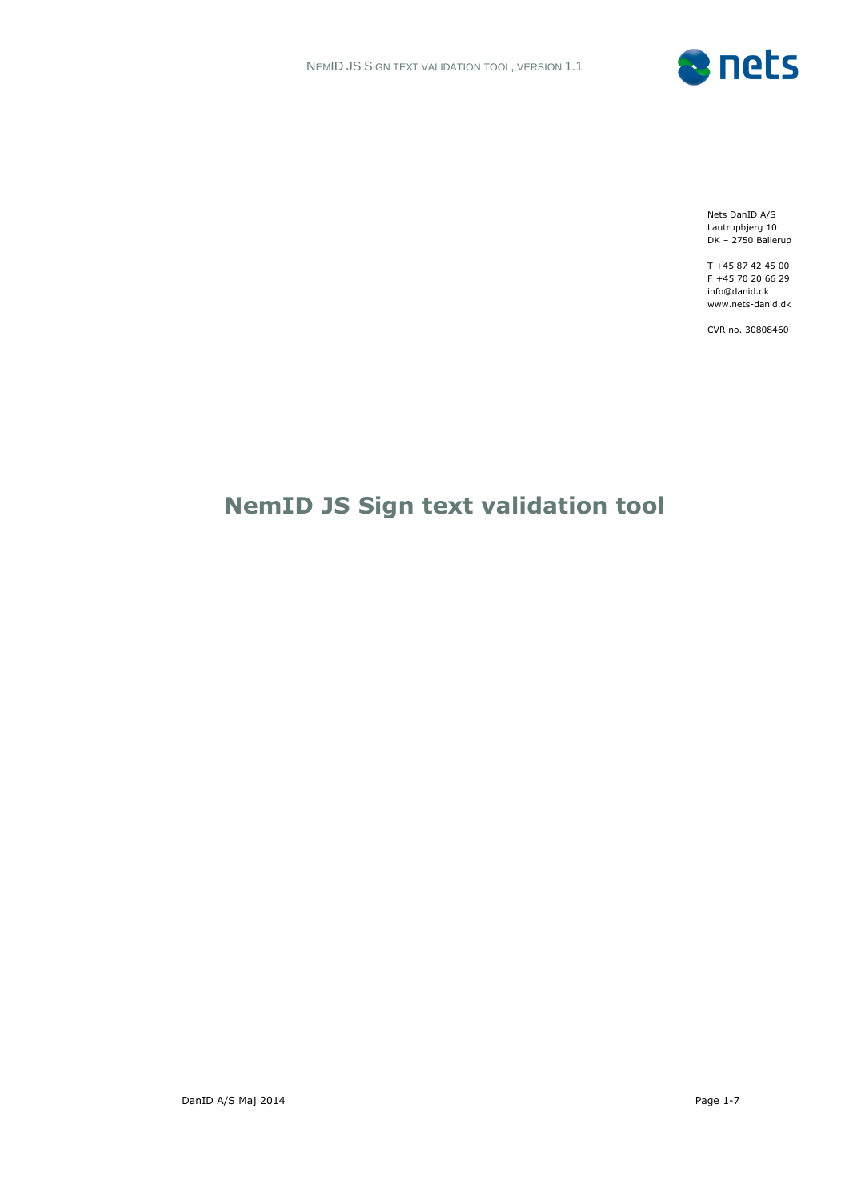

Nets DanID A/S Lautrupbjerg 10 DK – 2750 Ballerup

T +45 87 42 45 00 F +45 70 20 66 29 info@danid.dk www.nets-danid.dk

CVR no. 30808460

# **NemID JS Sign text validation tool**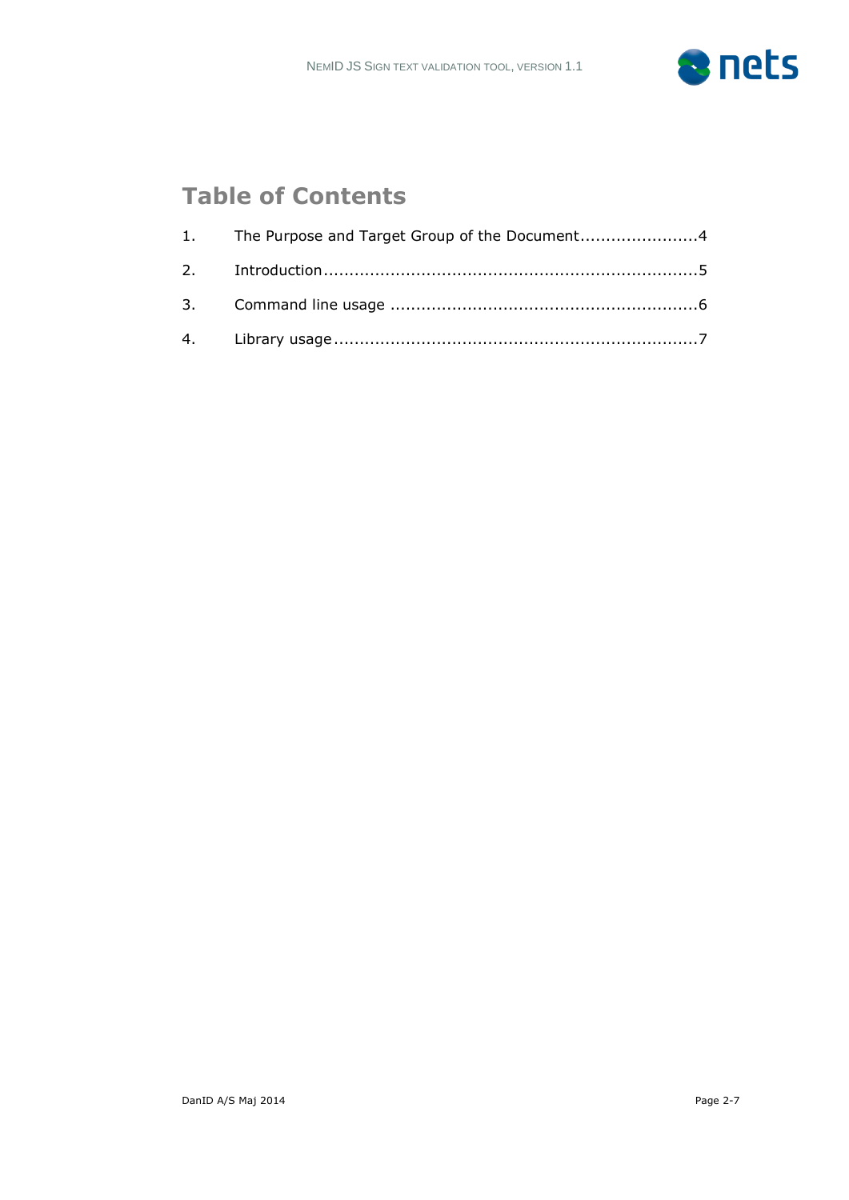

## **Table of Contents**

| 1. The Purpose and Target Group of the Document4 |  |
|--------------------------------------------------|--|
|                                                  |  |
|                                                  |  |
|                                                  |  |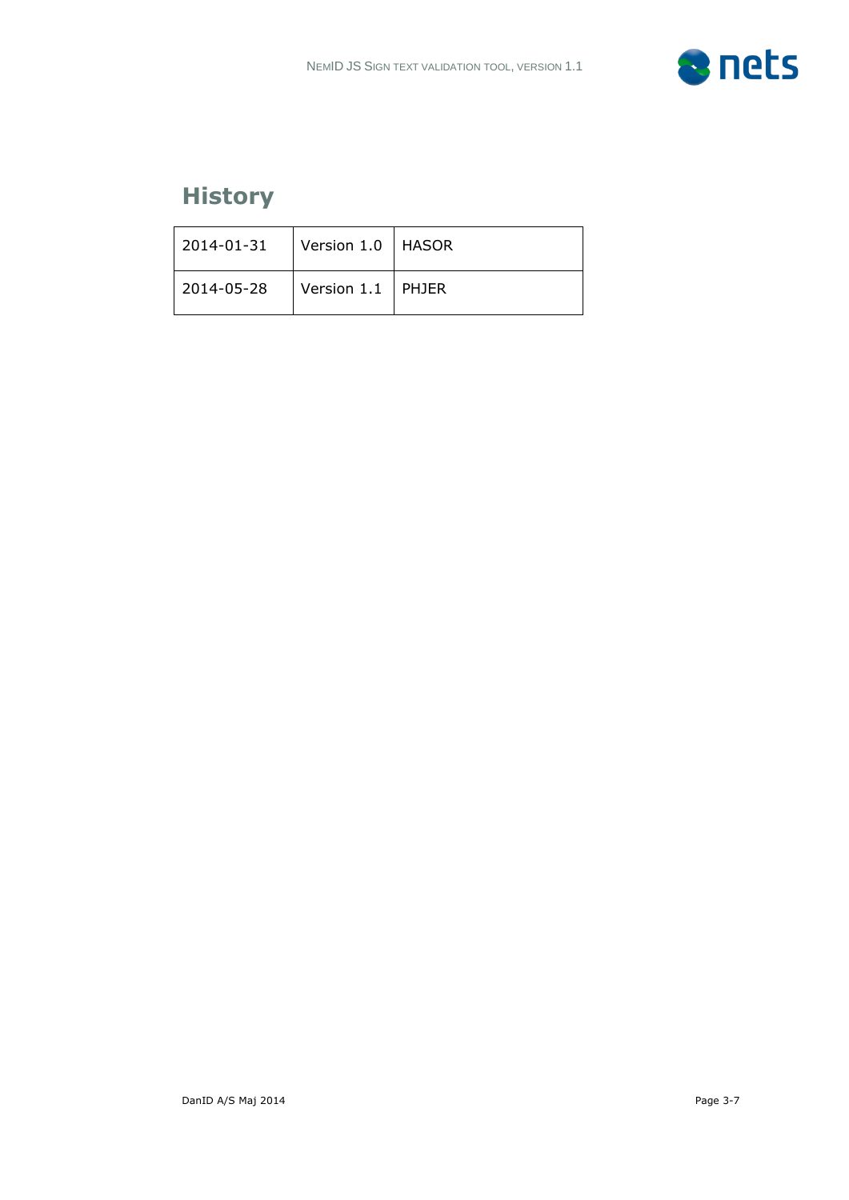

## **History**

| 2014-01-31     | Version 1.0   HASOR |  |
|----------------|---------------------|--|
| $ 2014-05-28 $ | Version 1.1 PHJER   |  |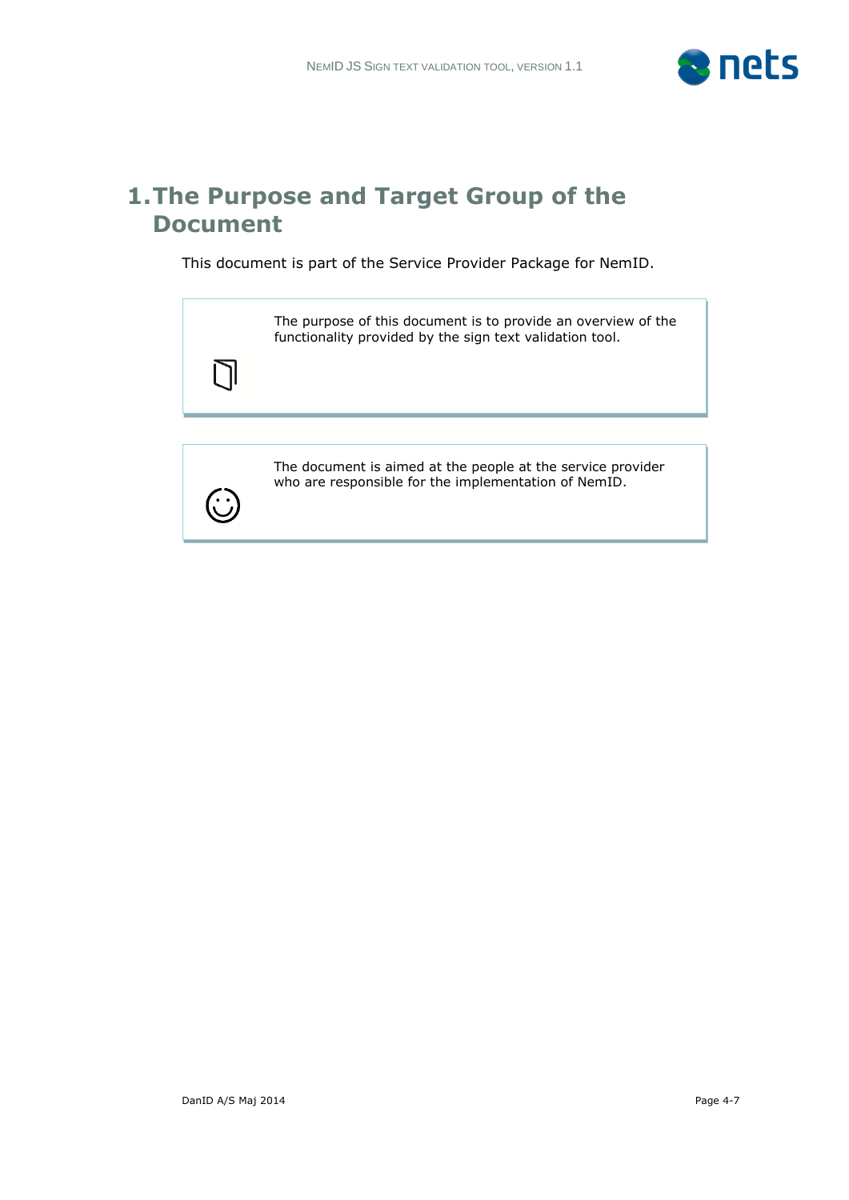

#### **1.The Purpose and Target Group of the Document**

This document is part of the Service Provider Package for NemID.

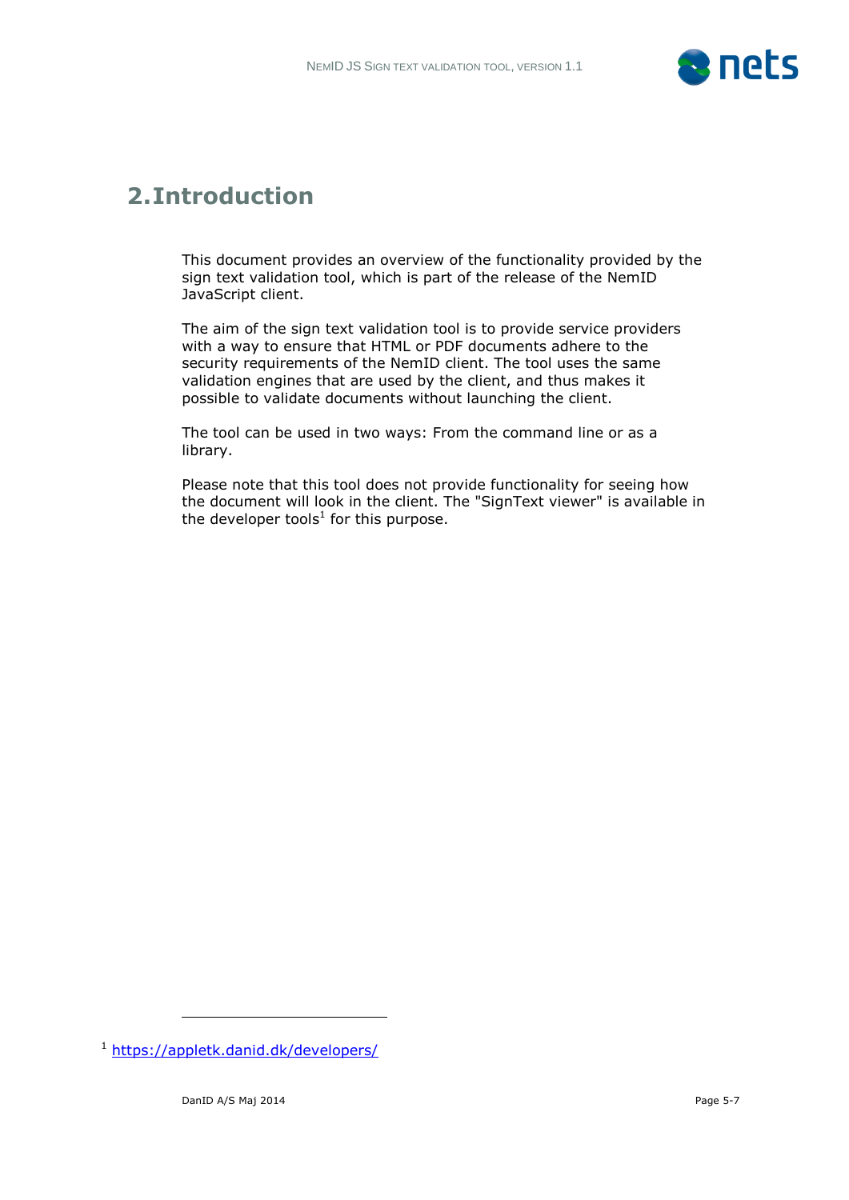

### **2.Introduction**

This document provides an overview of the functionality provided by the sign text validation tool, which is part of the release of the NemID JavaScript client.

The aim of the sign text validation tool is to provide service providers with a way to ensure that HTML or PDF documents adhere to the security requirements of the NemID client. The tool uses the same validation engines that are used by the client, and thus makes it possible to validate documents without launching the client.

The tool can be used in two ways: From the command line or as a library.

Please note that this tool does not provide functionality for seeing how the document will look in the client. The "SignText viewer" is available in the developer tools $^1$  for this purpose.

-

<sup>1</sup> <https://appletk.danid.dk/developers/>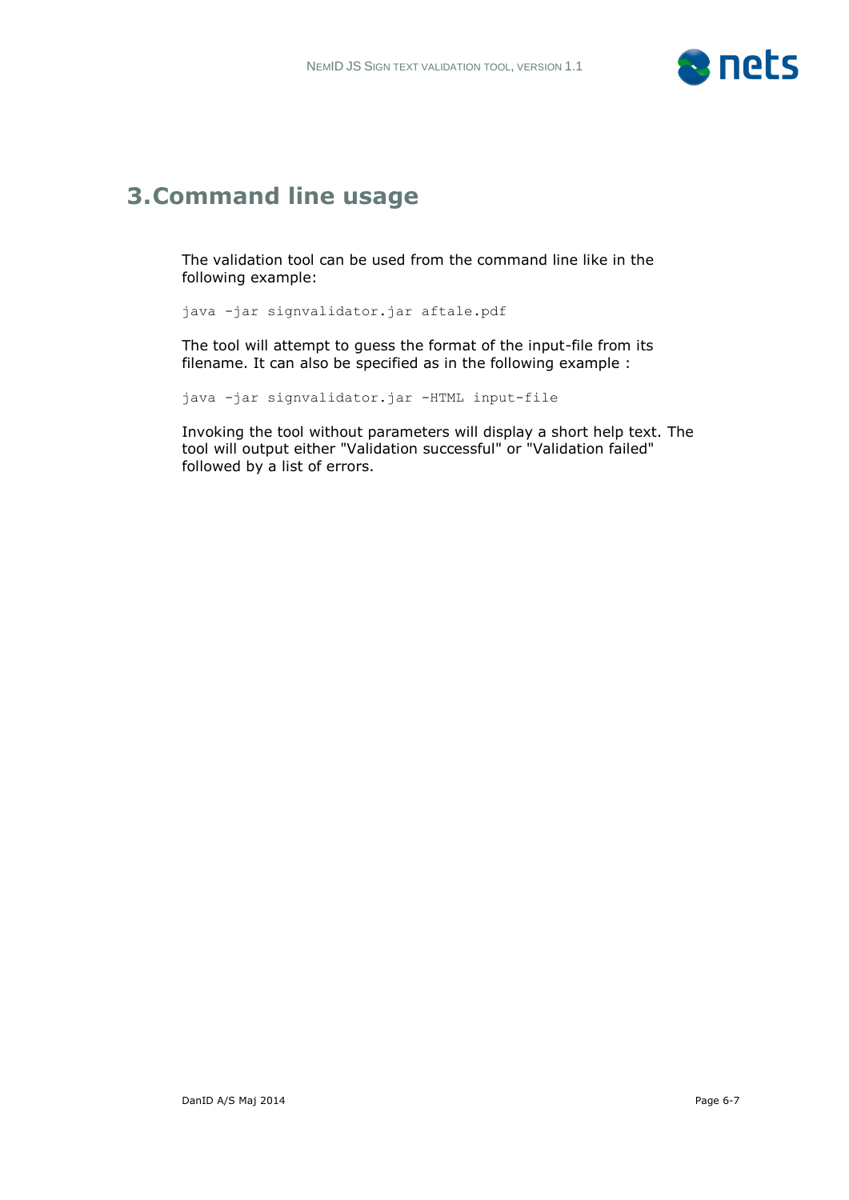

### **3.Command line usage**

The validation tool can be used from the command line like in the following example:

java -jar signvalidator.jar aftale.pdf

The tool will attempt to guess the format of the input-file from its filename. It can also be specified as in the following example :

java -jar signvalidator.jar -HTML input-file

Invoking the tool without parameters will display a short help text. The tool will output either "Validation successful" or "Validation failed" followed by a list of errors.